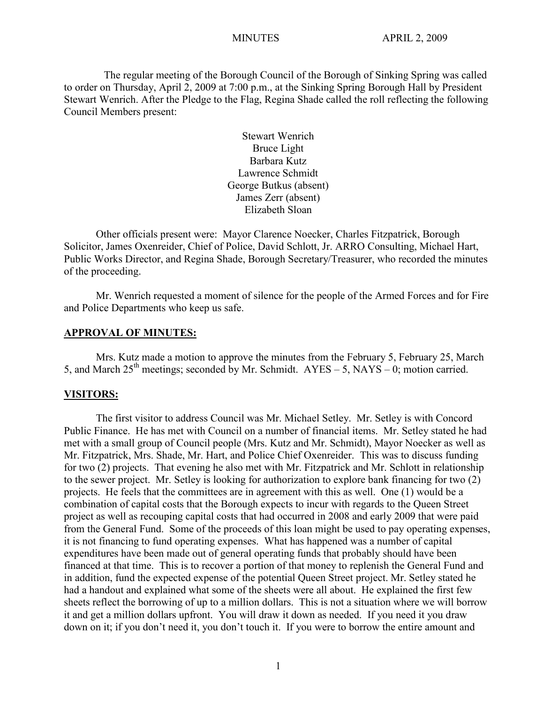The regular meeting of the Borough Council of the Borough of Sinking Spring was called to order on Thursday, April 2, 2009 at 7:00 p.m., at the Sinking Spring Borough Hall by President Stewart Wenrich. After the Pledge to the Flag, Regina Shade called the roll reflecting the following Council Members present:

> Stewart Wenrich Bruce Light Barbara Kutz Lawrence Schmidt George Butkus (absent) James Zerr (absent) Elizabeth Sloan

Other officials present were: Mayor Clarence Noecker, Charles Fitzpatrick, Borough Solicitor, James Oxenreider, Chief of Police, David Schlott, Jr. ARRO Consulting, Michael Hart, Public Works Director, and Regina Shade, Borough Secretary/Treasurer, who recorded the minutes of the proceeding.

Mr. Wenrich requested a moment of silence for the people of the Armed Forces and for Fire and Police Departments who keep us safe.

#### **APPROVAL OF MINUTES:**

Mrs. Kutz made a motion to approve the minutes from the February 5, February 25, March 5, and March  $25<sup>th</sup>$  meetings; seconded by Mr. Schmidt. AYES – 5, NAYS – 0; motion carried.

#### **VISITORS:**

The first visitor to address Council was Mr. Michael Setley. Mr. Setley is with Concord Public Finance. He has met with Council on a number of financial items. Mr. Setley stated he had met with a small group of Council people (Mrs. Kutz and Mr. Schmidt), Mayor Noecker as well as Mr. Fitzpatrick, Mrs. Shade, Mr. Hart, and Police Chief Oxenreider. This was to discuss funding for two (2) projects. That evening he also met with Mr. Fitzpatrick and Mr. Schlott in relationship to the sewer project. Mr. Setley is looking for authorization to explore bank financing for two (2) projects. He feels that the committees are in agreement with this as well. One (1) would be a combination of capital costs that the Borough expects to incur with regards to the Queen Street project as well as recouping capital costs that had occurred in 2008 and early 2009 that were paid from the General Fund. Some of the proceeds of this loan might be used to pay operating expenses, it is not financing to fund operating expenses. What has happened was a number of capital expenditures have been made out of general operating funds that probably should have been financed at that time. This is to recover a portion of that money to replenish the General Fund and in addition, fund the expected expense of the potential Queen Street project. Mr. Setley stated he had a handout and explained what some of the sheets were all about. He explained the first few sheets reflect the borrowing of up to a million dollars. This is not a situation where we will borrow it and get a million dollars upfront. You will draw it down as needed. If you need it you draw down on it; if you don't need it, you don't touch it. If you were to borrow the entire amount and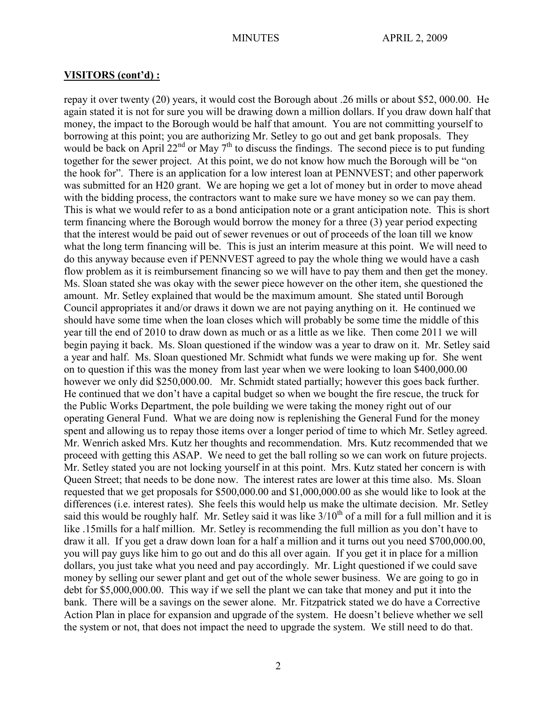## **VISITORS (cont'd) :**

repay it over twenty (20) years, it would cost the Borough about .26 mills or about \$52, 000.00. He again stated it is not for sure you will be drawing down a million dollars. If you draw down half that money, the impact to the Borough would be half that amount. You are not committing yourself to borrowing at this point; you are authorizing Mr. Setley to go out and get bank proposals. They would be back on April  $22^{nd}$  or May  $7^{th}$  to discuss the findings. The second piece is to put funding together for the sewer project. At this point, we do not know how much the Borough will be "on the hook for". There is an application for a low interest loan at PENNVEST; and other paperwork was submitted for an H20 grant. We are hoping we get a lot of money but in order to move ahead with the bidding process, the contractors want to make sure we have money so we can pay them. This is what we would refer to as a bond anticipation note or a grant anticipation note. This is short term financing where the Borough would borrow the money for a three (3) year period expecting that the interest would be paid out of sewer revenues or out of proceeds of the loan till we know what the long term financing will be. This is just an interim measure at this point. We will need to do this anyway because even if PENNVEST agreed to pay the whole thing we would have a cash flow problem as it is reimbursement financing so we will have to pay them and then get the money. Ms. Sloan stated she was okay with the sewer piece however on the other item, she questioned the amount. Mr. Setley explained that would be the maximum amount. She stated until Borough Council appropriates it and/or draws it down we are not paying anything on it. He continued we should have some time when the loan closes which will probably be some time the middle of this year till the end of 2010 to draw down as much or as a little as we like. Then come 2011 we will begin paying it back. Ms. Sloan questioned if the window was a year to draw on it. Mr. Setley said a year and half. Ms. Sloan questioned Mr. Schmidt what funds we were making up for. She went on to question if this was the money from last year when we were looking to loan \$400,000.00 however we only did \$250,000.00. Mr. Schmidt stated partially; however this goes back further. He continued that we don't have a capital budget so when we bought the fire rescue, the truck for the Public Works Department, the pole building we were taking the money right out of our operating General Fund. What we are doing now is replenishing the General Fund for the money spent and allowing us to repay those items over a longer period of time to which Mr. Setley agreed. Mr. Wenrich asked Mrs. Kutz her thoughts and recommendation. Mrs. Kutz recommended that we proceed with getting this ASAP. We need to get the ball rolling so we can work on future projects. Mr. Setley stated you are not locking yourself in at this point. Mrs. Kutz stated her concern is with Queen Street; that needs to be done now. The interest rates are lower at this time also. Ms. Sloan requested that we get proposals for \$500,000.00 and \$1,000,000.00 as she would like to look at the differences (i.e. interest rates). She feels this would help us make the ultimate decision. Mr. Setley said this would be roughly half. Mr. Setley said it was like  $3/10^{th}$  of a mill for a full million and it is like .15mills for a half million. Mr. Setley is recommending the full million as you don't have to draw it all. If you get a draw down loan for a half a million and it turns out you need \$700,000.00, you will pay guys like him to go out and do this all over again. If you get it in place for a million dollars, you just take what you need and pay accordingly. Mr. Light questioned if we could save money by selling our sewer plant and get out of the whole sewer business. We are going to go in debt for \$5,000,000.00. This way if we sell the plant we can take that money and put it into the bank. There will be a savings on the sewer alone. Mr. Fitzpatrick stated we do have a Corrective Action Plan in place for expansion and upgrade of the system. He doesn't believe whether we sell the system or not, that does not impact the need to upgrade the system. We still need to do that.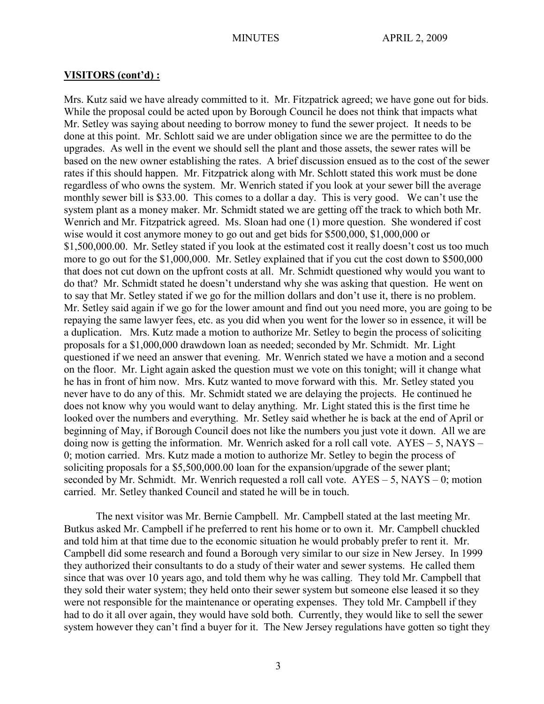#### **VISITORS (cont'd) :**

Mrs. Kutz said we have already committed to it. Mr. Fitzpatrick agreed; we have gone out for bids. While the proposal could be acted upon by Borough Council he does not think that impacts what Mr. Setley was saying about needing to borrow money to fund the sewer project. It needs to be done at this point. Mr. Schlott said we are under obligation since we are the permittee to do the upgrades. As well in the event we should sell the plant and those assets, the sewer rates will be based on the new owner establishing the rates. A brief discussion ensued as to the cost of the sewer rates if this should happen. Mr. Fitzpatrick along with Mr. Schlott stated this work must be done regardless of who owns the system. Mr. Wenrich stated if you look at your sewer bill the average monthly sewer bill is \$33.00. This comes to a dollar a day. This is very good. We can't use the system plant as a money maker. Mr. Schmidt stated we are getting off the track to which both Mr. Wenrich and Mr. Fitzpatrick agreed. Ms. Sloan had one (1) more question. She wondered if cost wise would it cost anymore money to go out and get bids for \$500,000, \$1,000,000 or \$1,500,000.00. Mr. Setley stated if you look at the estimated cost it really doesn't cost us too much more to go out for the \$1,000,000. Mr. Setley explained that if you cut the cost down to \$500,000 that does not cut down on the upfront costs at all. Mr. Schmidt questioned why would you want to do that? Mr. Schmidt stated he doesn't understand why she was asking that question. He went on to say that Mr. Setley stated if we go for the million dollars and don't use it, there is no problem. Mr. Setley said again if we go for the lower amount and find out you need more, you are going to be repaying the same lawyer fees, etc. as you did when you went for the lower so in essence, it will be a duplication. Mrs. Kutz made a motion to authorize Mr. Setley to begin the process of soliciting proposals for a \$1,000,000 drawdown loan as needed; seconded by Mr. Schmidt. Mr. Light questioned if we need an answer that evening. Mr. Wenrich stated we have a motion and a second on the floor. Mr. Light again asked the question must we vote on this tonight; will it change what he has in front of him now. Mrs. Kutz wanted to move forward with this. Mr. Setley stated you never have to do any of this. Mr. Schmidt stated we are delaying the projects. He continued he does not know why you would want to delay anything. Mr. Light stated this is the first time he looked over the numbers and everything. Mr. Setley said whether he is back at the end of April or beginning of May, if Borough Council does not like the numbers you just vote it down. All we are doing now is getting the information. Mr. Wenrich asked for a roll call vote.  $AYES - 5$ ,  $NAYS -$ 0; motion carried. Mrs. Kutz made a motion to authorize Mr. Setley to begin the process of soliciting proposals for a \$5,500,000.00 loan for the expansion/upgrade of the sewer plant; seconded by Mr. Schmidt. Mr. Wenrich requested a roll call vote. AYES – 5, NAYS – 0; motion carried. Mr. Setley thanked Council and stated he will be in touch.

The next visitor was Mr. Bernie Campbell. Mr. Campbell stated at the last meeting Mr. Butkus asked Mr. Campbell if he preferred to rent his home or to own it. Mr. Campbell chuckled and told him at that time due to the economic situation he would probably prefer to rent it. Mr. Campbell did some research and found a Borough very similar to our size in New Jersey. In 1999 they authorized their consultants to do a study of their water and sewer systems. He called them since that was over 10 years ago, and told them why he was calling. They told Mr. Campbell that they sold their water system; they held onto their sewer system but someone else leased it so they were not responsible for the maintenance or operating expenses. They told Mr. Campbell if they had to do it all over again, they would have sold both. Currently, they would like to sell the sewer system however they can't find a buyer for it. The New Jersey regulations have gotten so tight they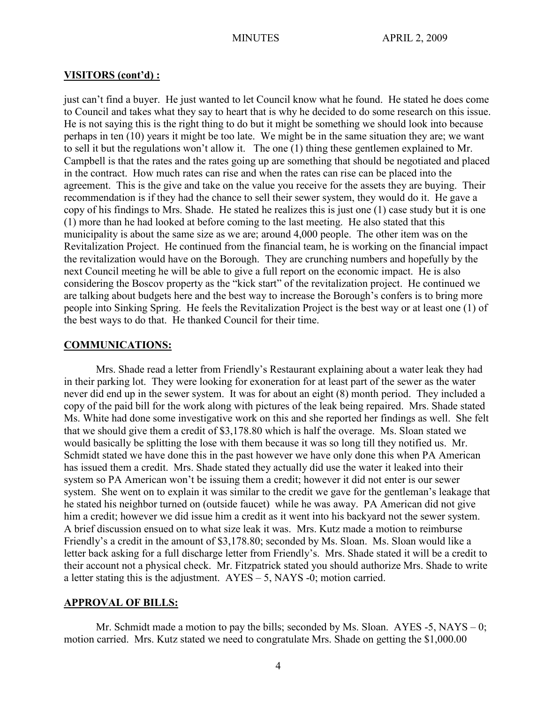## **VISITORS (cont'd) :**

just can't find a buyer. He just wanted to let Council know what he found. He stated he does come to Council and takes what they say to heart that is why he decided to do some research on this issue. He is not saying this is the right thing to do but it might be something we should look into because perhaps in ten (10) years it might be too late. We might be in the same situation they are; we want to sell it but the regulations won't allow it. The one (1) thing these gentlemen explained to Mr. Campbell is that the rates and the rates going up are something that should be negotiated and placed in the contract. How much rates can rise and when the rates can rise can be placed into the agreement. This is the give and take on the value you receive for the assets they are buying. Their recommendation is if they had the chance to sell their sewer system, they would do it. He gave a copy of his findings to Mrs. Shade. He stated he realizes this is just one (1) case study but it is one (1) more than he had looked at before coming to the last meeting. He also stated that this municipality is about the same size as we are; around 4,000 people. The other item was on the Revitalization Project. He continued from the financial team, he is working on the financial impact the revitalization would have on the Borough. They are crunching numbers and hopefully by the next Council meeting he will be able to give a full report on the economic impact. He is also considering the Boscov property as the "kick start" of the revitalization project. He continued we are talking about budgets here and the best way to increase the Borough's confers is to bring more people into Sinking Spring. He feels the Revitalization Project is the best way or at least one (1) of the best ways to do that. He thanked Council for their time.

## **COMMUNICATIONS:**

Mrs. Shade read a letter from Friendly's Restaurant explaining about a water leak they had in their parking lot. They were looking for exoneration for at least part of the sewer as the water never did end up in the sewer system. It was for about an eight (8) month period. They included a copy of the paid bill for the work along with pictures of the leak being repaired. Mrs. Shade stated Ms. White had done some investigative work on this and she reported her findings as well. She felt that we should give them a credit of \$3,178.80 which is half the overage. Ms. Sloan stated we would basically be splitting the lose with them because it was so long till they notified us. Mr. Schmidt stated we have done this in the past however we have only done this when PA American has issued them a credit. Mrs. Shade stated they actually did use the water it leaked into their system so PA American won't be issuing them a credit; however it did not enter is our sewer system. She went on to explain it was similar to the credit we gave for the gentleman's leakage that he stated his neighbor turned on (outside faucet) while he was away. PA American did not give him a credit; however we did issue him a credit as it went into his backyard not the sewer system. A brief discussion ensued on to what size leak it was. Mrs. Kutz made a motion to reimburse Friendly's a credit in the amount of \$3,178.80; seconded by Ms. Sloan. Ms. Sloan would like a letter back asking for a full discharge letter from Friendly's. Mrs. Shade stated it will be a credit to their account not a physical check. Mr. Fitzpatrick stated you should authorize Mrs. Shade to write a letter stating this is the adjustment. AYES – 5, NAYS -0; motion carried.

## **APPROVAL OF BILLS:**

Mr. Schmidt made a motion to pay the bills; seconded by Ms. Sloan.  $AYES - 5$ ,  $NAYS - 0$ ; motion carried. Mrs. Kutz stated we need to congratulate Mrs. Shade on getting the \$1,000.00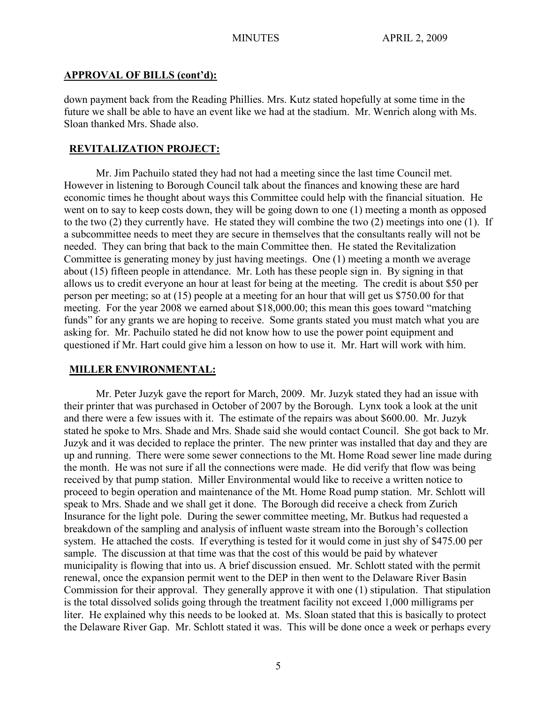## **APPROVAL OF BILLS (cont'd):**

down payment back from the Reading Phillies. Mrs. Kutz stated hopefully at some time in the future we shall be able to have an event like we had at the stadium. Mr. Wenrich along with Ms. Sloan thanked Mrs. Shade also.

## **REVITALIZATION PROJECT:**

Mr. Jim Pachuilo stated they had not had a meeting since the last time Council met. However in listening to Borough Council talk about the finances and knowing these are hard economic times he thought about ways this Committee could help with the financial situation. He went on to say to keep costs down, they will be going down to one (1) meeting a month as opposed to the two (2) they currently have. He stated they will combine the two (2) meetings into one (1). If a subcommittee needs to meet they are secure in themselves that the consultants really will not be needed. They can bring that back to the main Committee then. He stated the Revitalization Committee is generating money by just having meetings. One (1) meeting a month we average about (15) fifteen people in attendance. Mr. Loth has these people sign in. By signing in that allows us to credit everyone an hour at least for being at the meeting. The credit is about \$50 per person per meeting; so at (15) people at a meeting for an hour that will get us \$750.00 for that meeting. For the year 2008 we earned about \$18,000.00; this mean this goes toward "matching funds" for any grants we are hoping to receive. Some grants stated you must match what you are asking for. Mr. Pachuilo stated he did not know how to use the power point equipment and questioned if Mr. Hart could give him a lesson on how to use it. Mr. Hart will work with him.

## **MILLER ENVIRONMENTAL:**

Mr. Peter Juzyk gave the report for March, 2009. Mr. Juzyk stated they had an issue with their printer that was purchased in October of 2007 by the Borough. Lynx took a look at the unit and there were a few issues with it. The estimate of the repairs was about \$600.00. Mr. Juzyk stated he spoke to Mrs. Shade and Mrs. Shade said she would contact Council. She got back to Mr. Juzyk and it was decided to replace the printer. The new printer was installed that day and they are up and running. There were some sewer connections to the Mt. Home Road sewer line made during the month. He was not sure if all the connections were made. He did verify that flow was being received by that pump station. Miller Environmental would like to receive a written notice to proceed to begin operation and maintenance of the Mt. Home Road pump station. Mr. Schlott will speak to Mrs. Shade and we shall get it done. The Borough did receive a check from Zurich Insurance for the light pole. During the sewer committee meeting, Mr. Butkus had requested a breakdown of the sampling and analysis of influent waste stream into the Borough's collection system. He attached the costs. If everything is tested for it would come in just shy of \$475.00 per sample. The discussion at that time was that the cost of this would be paid by whatever municipality is flowing that into us. A brief discussion ensued. Mr. Schlott stated with the permit renewal, once the expansion permit went to the DEP in then went to the Delaware River Basin Commission for their approval. They generally approve it with one (1) stipulation. That stipulation is the total dissolved solids going through the treatment facility not exceed 1,000 milligrams per liter. He explained why this needs to be looked at. Ms. Sloan stated that this is basically to protect the Delaware River Gap. Mr. Schlott stated it was. This will be done once a week or perhaps every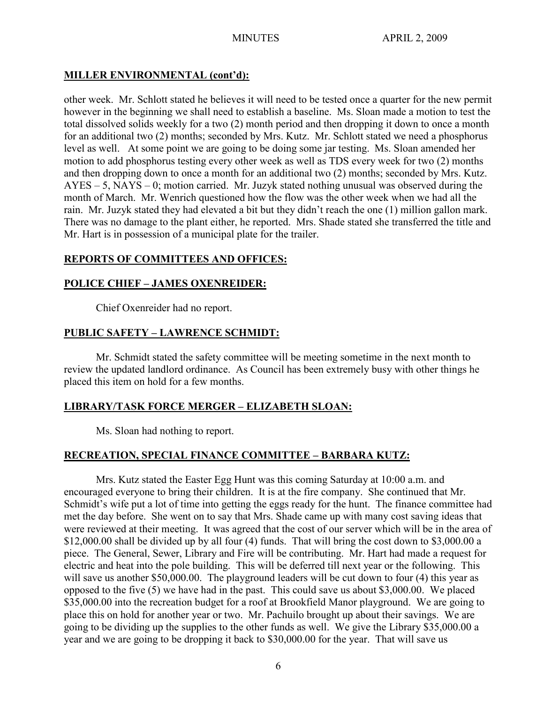# **MILLER ENVIRONMENTAL (cont'd):**

other week. Mr. Schlott stated he believes it will need to be tested once a quarter for the new permit however in the beginning we shall need to establish a baseline. Ms. Sloan made a motion to test the total dissolved solids weekly for a two (2) month period and then dropping it down to once a month for an additional two (2) months; seconded by Mrs. Kutz. Mr. Schlott stated we need a phosphorus level as well. At some point we are going to be doing some jar testing. Ms. Sloan amended her motion to add phosphorus testing every other week as well as TDS every week for two (2) months and then dropping down to once a month for an additional two (2) months; seconded by Mrs. Kutz. AYES – 5, NAYS – 0; motion carried. Mr. Juzyk stated nothing unusual was observed during the month of March. Mr. Wenrich questioned how the flow was the other week when we had all the rain. Mr. Juzyk stated they had elevated a bit but they didn't reach the one (1) million gallon mark. There was no damage to the plant either, he reported. Mrs. Shade stated she transferred the title and Mr. Hart is in possession of a municipal plate for the trailer.

# **REPORTS OF COMMITTEES AND OFFICES:**

# **POLICE CHIEF – JAMES OXENREIDER:**

Chief Oxenreider had no report.

# **PUBLIC SAFETY – LAWRENCE SCHMIDT:**

Mr. Schmidt stated the safety committee will be meeting sometime in the next month to review the updated landlord ordinance. As Council has been extremely busy with other things he placed this item on hold for a few months.

# **LIBRARY/TASK FORCE MERGER – ELIZABETH SLOAN:**

Ms. Sloan had nothing to report.

# **RECREATION, SPECIAL FINANCE COMMITTEE – BARBARA KUTZ:**

Mrs. Kutz stated the Easter Egg Hunt was this coming Saturday at 10:00 a.m. and encouraged everyone to bring their children. It is at the fire company. She continued that Mr. Schmidt's wife put a lot of time into getting the eggs ready for the hunt. The finance committee had met the day before. She went on to say that Mrs. Shade came up with many cost saving ideas that were reviewed at their meeting. It was agreed that the cost of our server which will be in the area of \$12,000.00 shall be divided up by all four (4) funds. That will bring the cost down to \$3,000.00 a piece. The General, Sewer, Library and Fire will be contributing. Mr. Hart had made a request for electric and heat into the pole building. This will be deferred till next year or the following. This will save us another \$50,000.00. The playground leaders will be cut down to four (4) this year as opposed to the five (5) we have had in the past. This could save us about \$3,000.00. We placed \$35,000.00 into the recreation budget for a roof at Brookfield Manor playground. We are going to place this on hold for another year or two. Mr. Pachuilo brought up about their savings. We are going to be dividing up the supplies to the other funds as well. We give the Library \$35,000.00 a year and we are going to be dropping it back to \$30,000.00 for the year. That will save us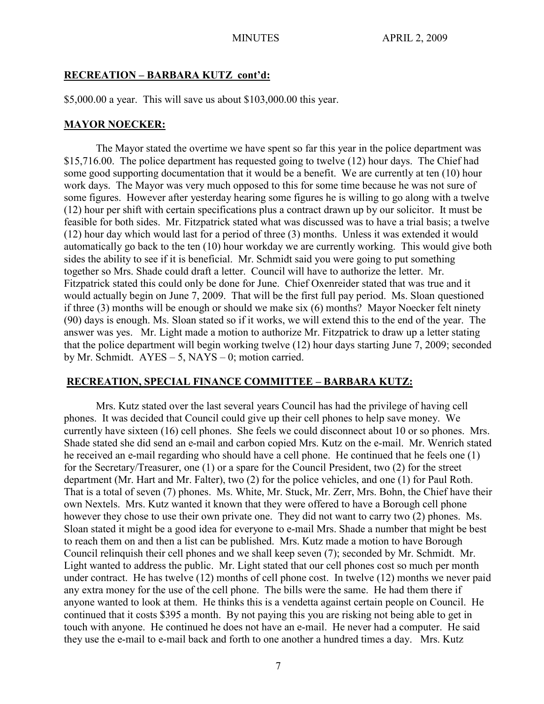## **RECREATION – BARBARA KUTZ cont'd:**

\$5,000.00 a year. This will save us about \$103,000.00 this year.

## **MAYOR NOECKER:**

The Mayor stated the overtime we have spent so far this year in the police department was \$15,716.00. The police department has requested going to twelve (12) hour days. The Chief had some good supporting documentation that it would be a benefit. We are currently at ten (10) hour work days. The Mayor was very much opposed to this for some time because he was not sure of some figures. However after yesterday hearing some figures he is willing to go along with a twelve (12) hour per shift with certain specifications plus a contract drawn up by our solicitor. It must be feasible for both sides. Mr. Fitzpatrick stated what was discussed was to have a trial basis; a twelve (12) hour day which would last for a period of three (3) months. Unless it was extended it would automatically go back to the ten (10) hour workday we are currently working. This would give both sides the ability to see if it is beneficial. Mr. Schmidt said you were going to put something together so Mrs. Shade could draft a letter. Council will have to authorize the letter. Mr. Fitzpatrick stated this could only be done for June. Chief Oxenreider stated that was true and it would actually begin on June 7, 2009. That will be the first full pay period. Ms. Sloan questioned if three (3) months will be enough or should we make six (6) months? Mayor Noecker felt ninety (90) days is enough. Ms. Sloan stated so if it works, we will extend this to the end of the year. The answer was yes. Mr. Light made a motion to authorize Mr. Fitzpatrick to draw up a letter stating that the police department will begin working twelve (12) hour days starting June 7, 2009; seconded by Mr. Schmidt.  $AYES - 5$ , NAYS – 0; motion carried.

## **RECREATION, SPECIAL FINANCE COMMITTEE – BARBARA KUTZ:**

Mrs. Kutz stated over the last several years Council has had the privilege of having cell phones. It was decided that Council could give up their cell phones to help save money. We currently have sixteen (16) cell phones. She feels we could disconnect about 10 or so phones. Mrs. Shade stated she did send an e-mail and carbon copied Mrs. Kutz on the e-mail. Mr. Wenrich stated he received an e-mail regarding who should have a cell phone. He continued that he feels one (1) for the Secretary/Treasurer, one (1) or a spare for the Council President, two (2) for the street department (Mr. Hart and Mr. Falter), two (2) for the police vehicles, and one (1) for Paul Roth. That is a total of seven (7) phones. Ms. White, Mr. Stuck, Mr. Zerr, Mrs. Bohn, the Chief have their own Nextels. Mrs. Kutz wanted it known that they were offered to have a Borough cell phone however they chose to use their own private one. They did not want to carry two (2) phones. Ms. Sloan stated it might be a good idea for everyone to e-mail Mrs. Shade a number that might be best to reach them on and then a list can be published. Mrs. Kutz made a motion to have Borough Council relinquish their cell phones and we shall keep seven (7); seconded by Mr. Schmidt. Mr. Light wanted to address the public. Mr. Light stated that our cell phones cost so much per month under contract. He has twelve (12) months of cell phone cost. In twelve (12) months we never paid any extra money for the use of the cell phone. The bills were the same. He had them there if anyone wanted to look at them. He thinks this is a vendetta against certain people on Council. He continued that it costs \$395 a month. By not paying this you are risking not being able to get in touch with anyone. He continued he does not have an e-mail. He never had a computer. He said they use the e-mail to e-mail back and forth to one another a hundred times a day. Mrs. Kutz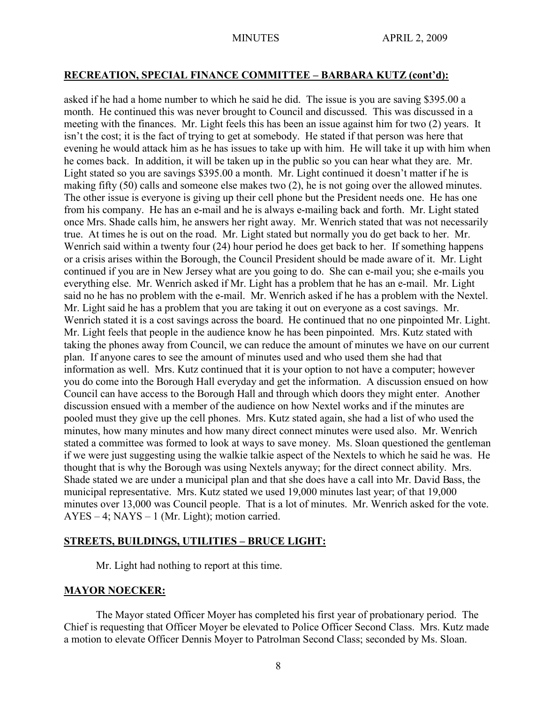## **RECREATION, SPECIAL FINANCE COMMITTEE – BARBARA KUTZ (cont'd):**

asked if he had a home number to which he said he did. The issue is you are saving \$395.00 a month. He continued this was never brought to Council and discussed. This was discussed in a meeting with the finances. Mr. Light feels this has been an issue against him for two (2) years. It isn't the cost; it is the fact of trying to get at somebody. He stated if that person was here that evening he would attack him as he has issues to take up with him. He will take it up with him when he comes back. In addition, it will be taken up in the public so you can hear what they are. Mr. Light stated so you are savings \$395.00 a month. Mr. Light continued it doesn't matter if he is making fifty (50) calls and someone else makes two (2), he is not going over the allowed minutes. The other issue is everyone is giving up their cell phone but the President needs one. He has one from his company. He has an e-mail and he is always e-mailing back and forth. Mr. Light stated once Mrs. Shade calls him, he answers her right away. Mr. Wenrich stated that was not necessarily true. At times he is out on the road. Mr. Light stated but normally you do get back to her. Mr. Wenrich said within a twenty four (24) hour period he does get back to her. If something happens or a crisis arises within the Borough, the Council President should be made aware of it. Mr. Light continued if you are in New Jersey what are you going to do. She can e-mail you; she e-mails you everything else. Mr. Wenrich asked if Mr. Light has a problem that he has an e-mail. Mr. Light said no he has no problem with the e-mail. Mr. Wenrich asked if he has a problem with the Nextel. Mr. Light said he has a problem that you are taking it out on everyone as a cost savings. Mr. Wenrich stated it is a cost savings across the board. He continued that no one pinpointed Mr. Light. Mr. Light feels that people in the audience know he has been pinpointed. Mrs. Kutz stated with taking the phones away from Council, we can reduce the amount of minutes we have on our current plan. If anyone cares to see the amount of minutes used and who used them she had that information as well. Mrs. Kutz continued that it is your option to not have a computer; however you do come into the Borough Hall everyday and get the information. A discussion ensued on how Council can have access to the Borough Hall and through which doors they might enter. Another discussion ensued with a member of the audience on how Nextel works and if the minutes are pooled must they give up the cell phones. Mrs. Kutz stated again, she had a list of who used the minutes, how many minutes and how many direct connect minutes were used also. Mr. Wenrich stated a committee was formed to look at ways to save money. Ms. Sloan questioned the gentleman if we were just suggesting using the walkie talkie aspect of the Nextels to which he said he was. He thought that is why the Borough was using Nextels anyway; for the direct connect ability. Mrs. Shade stated we are under a municipal plan and that she does have a call into Mr. David Bass, the municipal representative. Mrs. Kutz stated we used 19,000 minutes last year; of that 19,000 minutes over 13,000 was Council people. That is a lot of minutes. Mr. Wenrich asked for the vote. AYES – 4; NAYS – 1 (Mr. Light); motion carried.

## **STREETS, BUILDINGS, UTILITIES – BRUCE LIGHT:**

Mr. Light had nothing to report at this time.

## **MAYOR NOECKER:**

The Mayor stated Officer Moyer has completed his first year of probationary period. The Chief is requesting that Officer Moyer be elevated to Police Officer Second Class. Mrs. Kutz made a motion to elevate Officer Dennis Moyer to Patrolman Second Class; seconded by Ms. Sloan.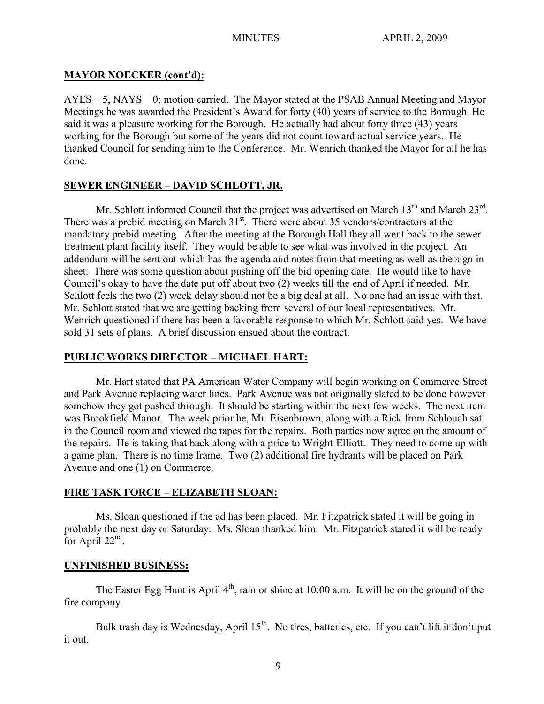# **MAYOR NOECKER (cont'd):**

AYES – 5, NAYS – 0; motion carried. The Mayor stated at the PSAB Annual Meeting and Mayor Meetings he was awarded the President's Award for forty (40) years of service to the Borough. He said it was a pleasure working for the Borough. He actually had about forty three (43) years working for the Borough but some of the years did not count toward actual service years. He thanked Council for sending him to the Conference. Mr. Wenrich thanked the Mayor for all he has done.

# **SEWER ENGINEER – DAVID SCHLOTT, JR.**

Mr. Schlott informed Council that the project was advertised on March  $13<sup>th</sup>$  and March  $23<sup>rd</sup>$ . There was a prebid meeting on March  $31<sup>st</sup>$ . There were about 35 vendors/contractors at the mandatory prebid meeting. After the meeting at the Borough Hall they all went back to the sewer treatment plant facility itself. They would be able to see what was involved in the project. An addendum will be sent out which has the agenda and notes from that meeting as well as the sign in sheet. There was some question about pushing off the bid opening date. He would like to have Council's okay to have the date put off about two (2) weeks till the end of April if needed. Mr. Schlott feels the two (2) week delay should not be a big deal at all. No one had an issue with that. Mr. Schlott stated that we are getting backing from several of our local representatives. Mr. Wenrich questioned if there has been a favorable response to which Mr. Schlott said yes. We have sold 31 sets of plans. A brief discussion ensued about the contract.

# **PUBLIC WORKS DIRECTOR – MICHAEL HART:**

Mr. Hart stated that PA American Water Company will begin working on Commerce Street and Park Avenue replacing water lines. Park Avenue was not originally slated to be done however somehow they got pushed through. It should be starting within the next few weeks. The next item was Brookfield Manor. The week prior he, Mr. Eisenbrown, along with a Rick from Schlouch sat in the Council room and viewed the tapes for the repairs. Both parties now agree on the amount of the repairs. He is taking that back along with a price to Wright-Elliott. They need to come up with a game plan. There is no time frame. Two (2) additional fire hydrants will be placed on Park Avenue and one (1) on Commerce.

# **FIRE TASK FORCE – ELIZABETH SLOAN:**

Ms. Sloan questioned if the ad has been placed. Mr. Fitzpatrick stated it will be going in probably the next day or Saturday. Ms. Sloan thanked him. Mr. Fitzpatrick stated it will be ready for April  $22<sup>nd</sup>$ .

# **UNFINISHED BUSINESS:**

The Easter Egg Hunt is April  $4<sup>th</sup>$ , rain or shine at 10:00 a.m. It will be on the ground of the fire company.

Bulk trash day is Wednesday, April 15<sup>th</sup>. No tires, batteries, etc. If you can't lift it don't put it out.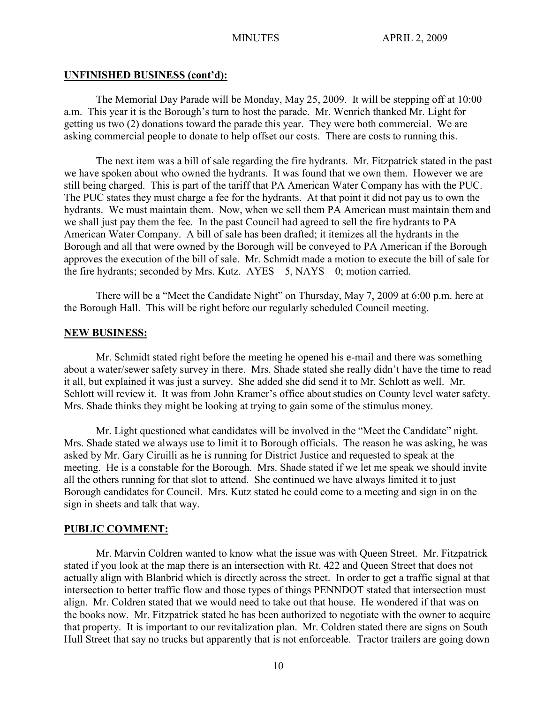#### **UNFINISHED BUSINESS (cont'd):**

The Memorial Day Parade will be Monday, May 25, 2009. It will be stepping off at 10:00 a.m. This year it is the Borough's turn to host the parade. Mr. Wenrich thanked Mr. Light for getting us two (2) donations toward the parade this year. They were both commercial. We are asking commercial people to donate to help offset our costs. There are costs to running this.

The next item was a bill of sale regarding the fire hydrants. Mr. Fitzpatrick stated in the past we have spoken about who owned the hydrants. It was found that we own them. However we are still being charged. This is part of the tariff that PA American Water Company has with the PUC. The PUC states they must charge a fee for the hydrants. At that point it did not pay us to own the hydrants. We must maintain them. Now, when we sell them PA American must maintain them and we shall just pay them the fee. In the past Council had agreed to sell the fire hydrants to PA American Water Company. A bill of sale has been drafted; it itemizes all the hydrants in the Borough and all that were owned by the Borough will be conveyed to PA American if the Borough approves the execution of the bill of sale. Mr. Schmidt made a motion to execute the bill of sale for the fire hydrants; seconded by Mrs. Kutz.  $AYES - 5$ , NAYS – 0; motion carried.

There will be a "Meet the Candidate Night" on Thursday, May 7, 2009 at 6:00 p.m. here at the Borough Hall. This will be right before our regularly scheduled Council meeting.

## **NEW BUSINESS:**

Mr. Schmidt stated right before the meeting he opened his e-mail and there was something about a water/sewer safety survey in there. Mrs. Shade stated she really didn't have the time to read it all, but explained it was just a survey. She added she did send it to Mr. Schlott as well. Mr. Schlott will review it. It was from John Kramer's office about studies on County level water safety. Mrs. Shade thinks they might be looking at trying to gain some of the stimulus money.

Mr. Light questioned what candidates will be involved in the "Meet the Candidate" night. Mrs. Shade stated we always use to limit it to Borough officials. The reason he was asking, he was asked by Mr. Gary Ciruilli as he is running for District Justice and requested to speak at the meeting. He is a constable for the Borough. Mrs. Shade stated if we let me speak we should invite all the others running for that slot to attend. She continued we have always limited it to just Borough candidates for Council. Mrs. Kutz stated he could come to a meeting and sign in on the sign in sheets and talk that way.

## **PUBLIC COMMENT:**

Mr. Marvin Coldren wanted to know what the issue was with Queen Street. Mr. Fitzpatrick stated if you look at the map there is an intersection with Rt. 422 and Queen Street that does not actually align with Blanbrid which is directly across the street. In order to get a traffic signal at that intersection to better traffic flow and those types of things PENNDOT stated that intersection must align. Mr. Coldren stated that we would need to take out that house. He wondered if that was on the books now. Mr. Fitzpatrick stated he has been authorized to negotiate with the owner to acquire that property. It is important to our revitalization plan. Mr. Coldren stated there are signs on South Hull Street that say no trucks but apparently that is not enforceable. Tractor trailers are going down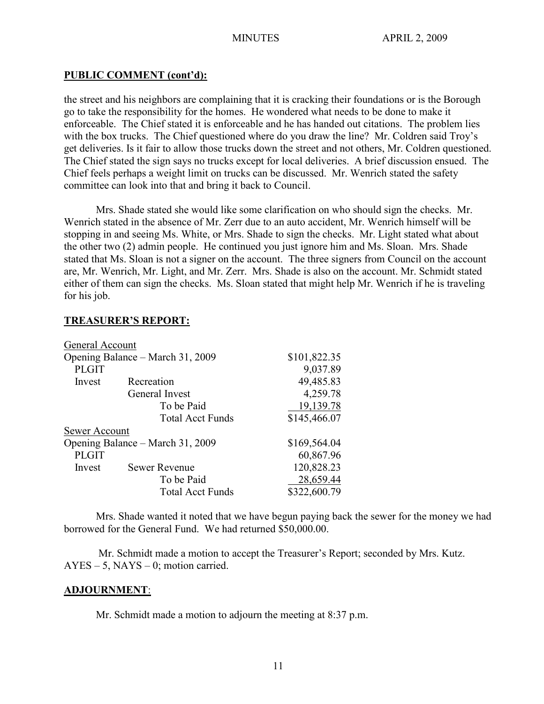## **PUBLIC COMMENT (cont'd):**

the street and his neighbors are complaining that it is cracking their foundations or is the Borough go to take the responsibility for the homes. He wondered what needs to be done to make it enforceable. The Chief stated it is enforceable and he has handed out citations. The problem lies with the box trucks. The Chief questioned where do you draw the line? Mr. Coldren said Troy's get deliveries. Is it fair to allow those trucks down the street and not others, Mr. Coldren questioned. The Chief stated the sign says no trucks except for local deliveries. A brief discussion ensued. The Chief feels perhaps a weight limit on trucks can be discussed. Mr. Wenrich stated the safety committee can look into that and bring it back to Council.

Mrs. Shade stated she would like some clarification on who should sign the checks. Mr. Wenrich stated in the absence of Mr. Zerr due to an auto accident, Mr. Wenrich himself will be stopping in and seeing Ms. White, or Mrs. Shade to sign the checks. Mr. Light stated what about the other two (2) admin people. He continued you just ignore him and Ms. Sloan. Mrs. Shade stated that Ms. Sloan is not a signer on the account. The three signers from Council on the account are, Mr. Wenrich, Mr. Light, and Mr. Zerr. Mrs. Shade is also on the account. Mr. Schmidt stated either of them can sign the checks. Ms. Sloan stated that might help Mr. Wenrich if he is traveling for his job.

## **TREASURER'S REPORT:**

| General Account                  |                         |              |
|----------------------------------|-------------------------|--------------|
| Opening Balance – March 31, 2009 |                         | \$101,822.35 |
| <b>PLGIT</b>                     |                         | 9,037.89     |
| Invest                           | Recreation              | 49,485.83    |
|                                  | General Invest          | 4,259.78     |
|                                  | To be Paid              | 19,139.78    |
|                                  | <b>Total Acct Funds</b> | \$145,466.07 |
| Sewer Account                    |                         |              |
| Opening Balance – March 31, 2009 |                         | \$169,564.04 |
| <b>PLGIT</b>                     |                         | 60,867.96    |
| Invest                           | <b>Sewer Revenue</b>    | 120,828.23   |
|                                  | To be Paid              | 28,659.44    |
|                                  | <b>Total Acct Funds</b> | \$322,600.79 |

Mrs. Shade wanted it noted that we have begun paying back the sewer for the money we had borrowed for the General Fund. We had returned \$50,000.00.

Mr. Schmidt made a motion to accept the Treasurer's Report; seconded by Mrs. Kutz.  $AYES - 5$ ,  $NAYS - 0$ ; motion carried.

## **ADJOURNMENT**:

Mr. Schmidt made a motion to adjourn the meeting at 8:37 p.m.